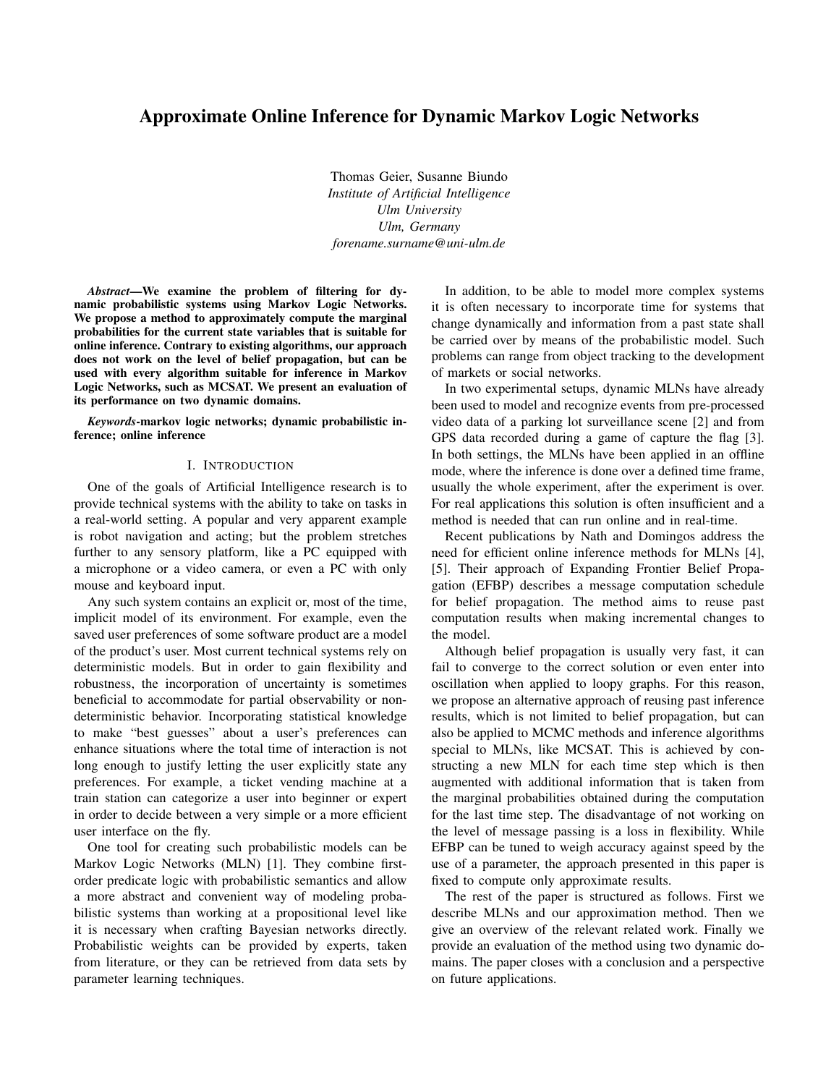# Approximate Online Inference for Dynamic Markov Logic Networks

Thomas Geier, Susanne Biundo *Institute of Artificial Intelligence Ulm University Ulm, Germany forename.surname@uni-ulm.de*

*Abstract*—We examine the problem of filtering for dynamic probabilistic systems using Markov Logic Networks. We propose a method to approximately compute the marginal probabilities for the current state variables that is suitable for online inference. Contrary to existing algorithms, our approach does not work on the level of belief propagation, but can be used with every algorithm suitable for inference in Markov Logic Networks, such as MCSAT. We present an evaluation of its performance on two dynamic domains.

*Keywords*-markov logic networks; dynamic probabilistic inference; online inference

# I. INTRODUCTION

One of the goals of Artificial Intelligence research is to provide technical systems with the ability to take on tasks in a real-world setting. A popular and very apparent example is robot navigation and acting; but the problem stretches further to any sensory platform, like a PC equipped with a microphone or a video camera, or even a PC with only mouse and keyboard input.

Any such system contains an explicit or, most of the time, implicit model of its environment. For example, even the saved user preferences of some software product are a model of the product's user. Most current technical systems rely on deterministic models. But in order to gain flexibility and robustness, the incorporation of uncertainty is sometimes beneficial to accommodate for partial observability or nondeterministic behavior. Incorporating statistical knowledge to make "best guesses" about a user's preferences can enhance situations where the total time of interaction is not long enough to justify letting the user explicitly state any preferences. For example, a ticket vending machine at a train station can categorize a user into beginner or expert in order to decide between a very simple or a more efficient user interface on the fly.

One tool for creating such probabilistic models can be Markov Logic Networks (MLN) [1]. They combine firstorder predicate logic with probabilistic semantics and allow a more abstract and convenient way of modeling probabilistic systems than working at a propositional level like it is necessary when crafting Bayesian networks directly. Probabilistic weights can be provided by experts, taken from literature, or they can be retrieved from data sets by parameter learning techniques.

In addition, to be able to model more complex systems it is often necessary to incorporate time for systems that change dynamically and information from a past state shall be carried over by means of the probabilistic model. Such problems can range from object tracking to the development of markets or social networks.

In two experimental setups, dynamic MLNs have already been used to model and recognize events from pre-processed video data of a parking lot surveillance scene [2] and from GPS data recorded during a game of capture the flag [3]. In both settings, the MLNs have been applied in an offline mode, where the inference is done over a defined time frame, usually the whole experiment, after the experiment is over. For real applications this solution is often insufficient and a method is needed that can run online and in real-time.

Recent publications by Nath and Domingos address the need for efficient online inference methods for MLNs [4], [5]. Their approach of Expanding Frontier Belief Propagation (EFBP) describes a message computation schedule for belief propagation. The method aims to reuse past computation results when making incremental changes to the model.

Although belief propagation is usually very fast, it can fail to converge to the correct solution or even enter into oscillation when applied to loopy graphs. For this reason, we propose an alternative approach of reusing past inference results, which is not limited to belief propagation, but can also be applied to MCMC methods and inference algorithms special to MLNs, like MCSAT. This is achieved by constructing a new MLN for each time step which is then augmented with additional information that is taken from the marginal probabilities obtained during the computation for the last time step. The disadvantage of not working on the level of message passing is a loss in flexibility. While EFBP can be tuned to weigh accuracy against speed by the use of a parameter, the approach presented in this paper is fixed to compute only approximate results.

The rest of the paper is structured as follows. First we describe MLNs and our approximation method. Then we give an overview of the relevant related work. Finally we provide an evaluation of the method using two dynamic domains. The paper closes with a conclusion and a perspective on future applications.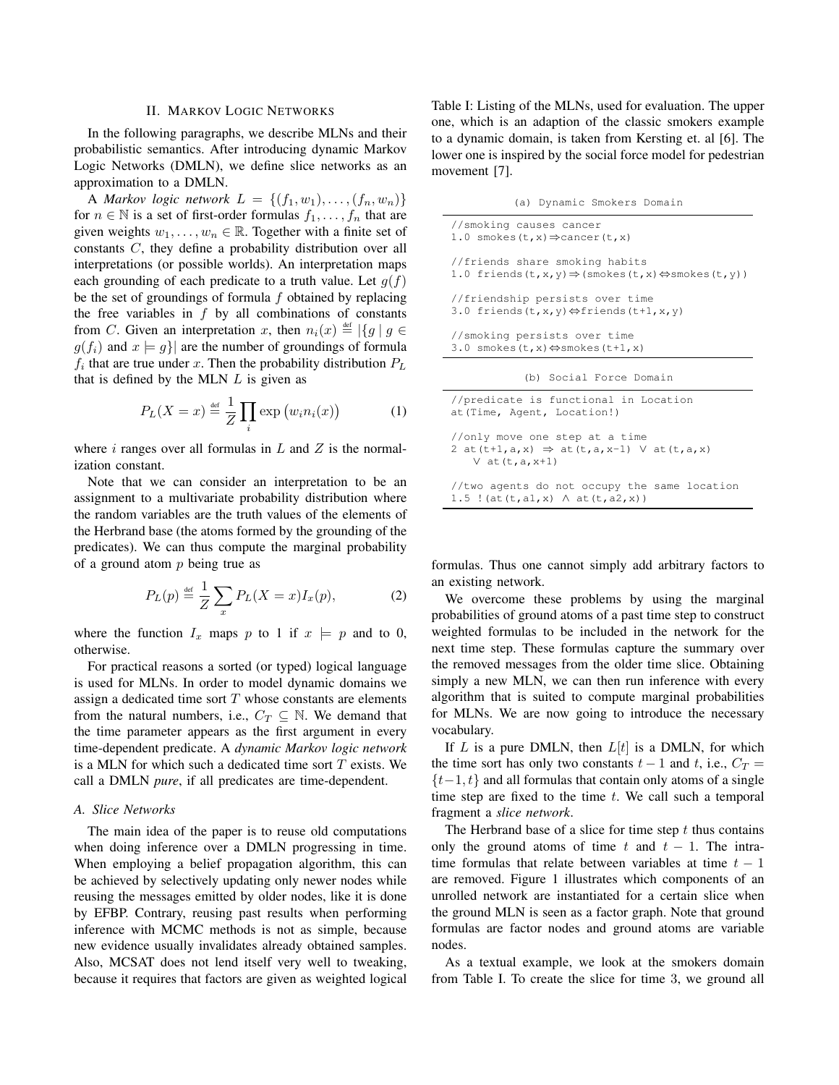# II. MARKOV LOGIC NETWORKS

In the following paragraphs, we describe MLNs and their probabilistic semantics. After introducing dynamic Markov Logic Networks (DMLN), we define slice networks as an approximation to a DMLN.

A *Markov logic network*  $L = \{(f_1, w_1), \ldots, (f_n, w_n)\}\$ for  $n \in \mathbb{N}$  is a set of first-order formulas  $f_1, \ldots, f_n$  that are given weights  $w_1, \ldots, w_n \in \mathbb{R}$ . Together with a finite set of constants C, they define a probability distribution over all interpretations (or possible worlds). An interpretation maps each grounding of each predicate to a truth value. Let  $q(f)$ be the set of groundings of formula  $f$  obtained by replacing the free variables in  $f$  by all combinations of constants from C. Given an interpretation x, then  $n_i(x) \stackrel{\text{def}}{=} |\{g \mid g \in$  $g(f_i)$  and  $x \models g$  are the number of groundings of formula  $f_i$  that are true under x. Then the probability distribution  $P_L$ that is defined by the MLN  $L$  is given as

$$
P_L(X = x) \stackrel{\text{def}}{=} \frac{1}{Z} \prod_i \exp(w_i n_i(x)) \tag{1}
$$

where i ranges over all formulas in  $L$  and  $Z$  is the normalization constant.

Note that we can consider an interpretation to be an assignment to a multivariate probability distribution where the random variables are the truth values of the elements of the Herbrand base (the atoms formed by the grounding of the predicates). We can thus compute the marginal probability of a ground atom  $p$  being true as

$$
P_L(p) \stackrel{\text{def}}{=} \frac{1}{Z} \sum_x P_L(X = x) I_x(p),\tag{2}
$$

where the function  $I_x$  maps p to 1 if  $x \models p$  and to 0, otherwise.

For practical reasons a sorted (or typed) logical language is used for MLNs. In order to model dynamic domains we assign a dedicated time sort  $T$  whose constants are elements from the natural numbers, i.e.,  $C_T \subseteq \mathbb{N}$ . We demand that the time parameter appears as the first argument in every time-dependent predicate. A *dynamic Markov logic network* is a MLN for which such a dedicated time sort  $T$  exists. We call a DMLN *pure*, if all predicates are time-dependent.

#### *A. Slice Networks*

The main idea of the paper is to reuse old computations when doing inference over a DMLN progressing in time. When employing a belief propagation algorithm, this can be achieved by selectively updating only newer nodes while reusing the messages emitted by older nodes, like it is done by EFBP. Contrary, reusing past results when performing inference with MCMC methods is not as simple, because new evidence usually invalidates already obtained samples. Also, MCSAT does not lend itself very well to tweaking, because it requires that factors are given as weighted logical Table I: Listing of the MLNs, used for evaluation. The upper one, which is an adaption of the classic smokers example to a dynamic domain, is taken from Kersting et. al [6]. The lower one is inspired by the social force model for pedestrian movement [7].

| (a) Dynamic Smokers Domain |  |  |
|----------------------------|--|--|
|----------------------------|--|--|

| //smoking causes cancer<br>1.0 smokes $(t, x) \Rightarrow$ cancer $(t, x)$                                               |  |  |  |  |  |
|--------------------------------------------------------------------------------------------------------------------------|--|--|--|--|--|
| //friends share smoking habits<br>1.0 friends $(t, x, y) \Rightarrow$ (smokes $(t, x) \Leftrightarrow$ smokes $(t, y)$ ) |  |  |  |  |  |
| //friendship persists over time<br>3.0 friends $(t, x, y) \Leftrightarrow$ friends $(t+1, x, y)$                         |  |  |  |  |  |
| //smoking persists over time<br>3.0 smokes $(t, x) \Leftrightarrow$ smokes $(t+1, x)$                                    |  |  |  |  |  |
| (b) Social Force Domain                                                                                                  |  |  |  |  |  |
| //predicate is functional in Location<br>at (Time, Agent, Location!)                                                     |  |  |  |  |  |
| //only move one step at a time                                                                                           |  |  |  |  |  |

| $V$ at $(t, a, x+1)$ |                                                   |  |                                              |
|----------------------|---------------------------------------------------|--|----------------------------------------------|
|                      |                                                   |  | //two agents do not occupy the same location |
|                      | 1.5 ! (at $(t, a1, x)$ $\wedge$ at $(t, a2, x)$ ) |  |                                              |

2 at(t+1,a,x)  $\Rightarrow$  at(t,a,x-1)  $\vee$  at(t,a,x)

formulas. Thus one cannot simply add arbitrary factors to an existing network.

We overcome these problems by using the marginal probabilities of ground atoms of a past time step to construct weighted formulas to be included in the network for the next time step. These formulas capture the summary over the removed messages from the older time slice. Obtaining simply a new MLN, we can then run inference with every algorithm that is suited to compute marginal probabilities for MLNs. We are now going to introduce the necessary vocabulary.

If L is a pure DMLN, then  $L[t]$  is a DMLN, for which the time sort has only two constants  $t - 1$  and  $t$ , i.e.,  $C_T =$  $\{t-1, t\}$  and all formulas that contain only atoms of a single time step are fixed to the time  $t$ . We call such a temporal fragment a *slice network*.

The Herbrand base of a slice for time step  $t$  thus contains only the ground atoms of time t and  $t - 1$ . The intratime formulas that relate between variables at time  $t - 1$ are removed. Figure 1 illustrates which components of an unrolled network are instantiated for a certain slice when the ground MLN is seen as a factor graph. Note that ground formulas are factor nodes and ground atoms are variable nodes.

As a textual example, we look at the smokers domain from Table I. To create the slice for time 3, we ground all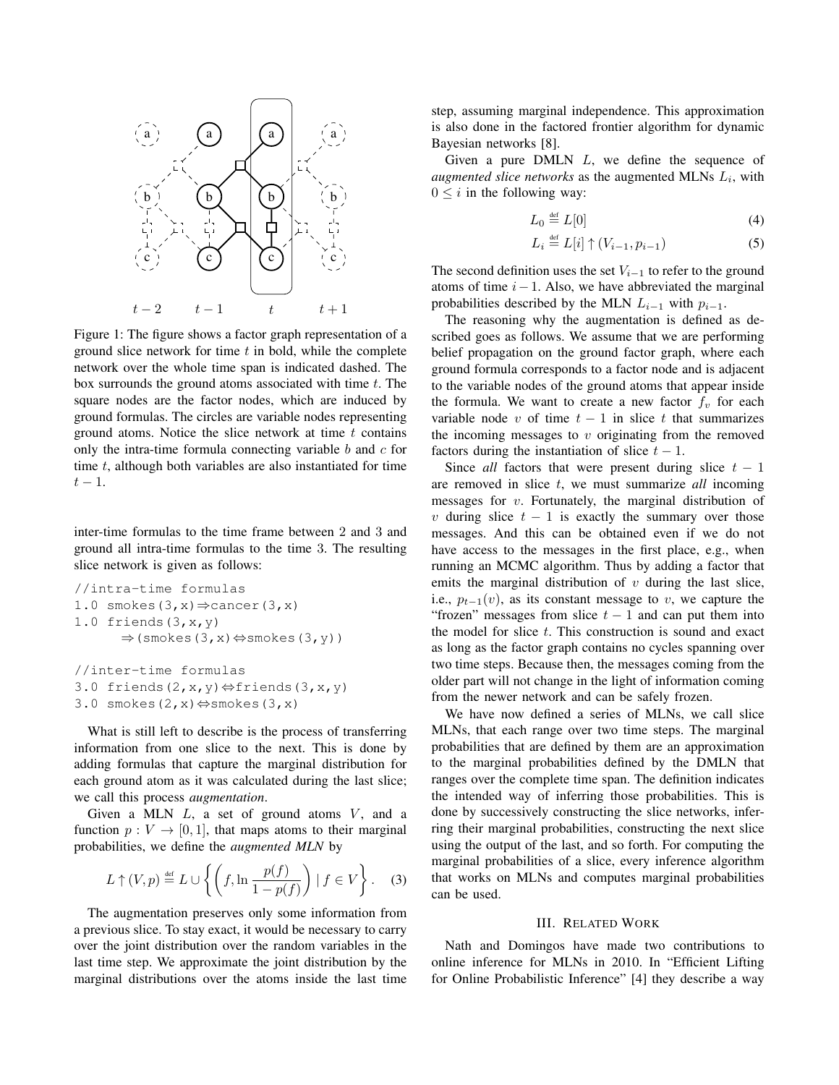

Figure 1: The figure shows a factor graph representation of a ground slice network for time  $t$  in bold, while the complete network over the whole time span is indicated dashed. The box surrounds the ground atoms associated with time  $t$ . The square nodes are the factor nodes, which are induced by ground formulas. The circles are variable nodes representing ground atoms. Notice the slice network at time  $t$  contains only the intra-time formula connecting variable  $b$  and  $c$  for time  $t$ , although both variables are also instantiated for time  $t-1$ .

inter-time formulas to the time frame between 2 and 3 and ground all intra-time formulas to the time 3. The resulting slice network is given as follows:

```
//intra-time formulas
1.0 smokes(3, x) \Rightarrowcancer(3, x)1.0 friends(3,x,y)
      ⇒(smokes(3,x)⇔smokes(3,y))
//inter-time formulas
```

```
3.0 friends(2,x,y)⇔friends(3,x,y)
3.0 smokes(2, x)⇔smokes(3, x)
```
What is still left to describe is the process of transferring information from one slice to the next. This is done by adding formulas that capture the marginal distribution for each ground atom as it was calculated during the last slice; we call this process *augmentation*.

Given a MLN  $L$ , a set of ground atoms  $V$ , and a function  $p: V \to [0, 1]$ , that maps atoms to their marginal probabilities, we define the *augmented MLN* by

$$
L \uparrow (V, p) \stackrel{\text{def}}{=} L \cup \left\{ \left( f, \ln \frac{p(f)}{1 - p(f)} \right) \mid f \in V \right\}.
$$
 (3)

The augmentation preserves only some information from a previous slice. To stay exact, it would be necessary to carry over the joint distribution over the random variables in the last time step. We approximate the joint distribution by the marginal distributions over the atoms inside the last time step, assuming marginal independence. This approximation is also done in the factored frontier algorithm for dynamic Bayesian networks [8].

Given a pure DMLN  $L$ , we define the sequence of *augmented slice networks* as the augmented MLNs  $L_i$ , with  $0 \leq i$  in the following way:

$$
L_0 \stackrel{\text{def}}{=} L[0] \tag{4}
$$

$$
L_i \stackrel{\text{def}}{=} L[i] \uparrow (V_{i-1}, p_{i-1}) \tag{5}
$$

The second definition uses the set  $V_{i-1}$  to refer to the ground atoms of time  $i-1$ . Also, we have abbreviated the marginal probabilities described by the MLN  $L_{i-1}$  with  $p_{i-1}$ .

The reasoning why the augmentation is defined as described goes as follows. We assume that we are performing belief propagation on the ground factor graph, where each ground formula corresponds to a factor node and is adjacent to the variable nodes of the ground atoms that appear inside the formula. We want to create a new factor  $f_v$  for each variable node v of time  $t - 1$  in slice t that summarizes the incoming messages to  $v$  originating from the removed factors during the instantiation of slice  $t - 1$ .

Since *all* factors that were present during slice  $t - 1$ are removed in slice t, we must summarize *all* incoming messages for  $v$ . Fortunately, the marginal distribution of v during slice  $t - 1$  is exactly the summary over those messages. And this can be obtained even if we do not have access to the messages in the first place, e.g., when running an MCMC algorithm. Thus by adding a factor that emits the marginal distribution of  $v$  during the last slice, i.e.,  $p_{t-1}(v)$ , as its constant message to v, we capture the "frozen" messages from slice  $t - 1$  and can put them into the model for slice  $t$ . This construction is sound and exact as long as the factor graph contains no cycles spanning over two time steps. Because then, the messages coming from the older part will not change in the light of information coming from the newer network and can be safely frozen.

We have now defined a series of MLNs, we call slice MLNs, that each range over two time steps. The marginal probabilities that are defined by them are an approximation to the marginal probabilities defined by the DMLN that ranges over the complete time span. The definition indicates the intended way of inferring those probabilities. This is done by successively constructing the slice networks, inferring their marginal probabilities, constructing the next slice using the output of the last, and so forth. For computing the marginal probabilities of a slice, every inference algorithm that works on MLNs and computes marginal probabilities can be used.

#### III. RELATED WORK

Nath and Domingos have made two contributions to online inference for MLNs in 2010. In "Efficient Lifting for Online Probabilistic Inference" [4] they describe a way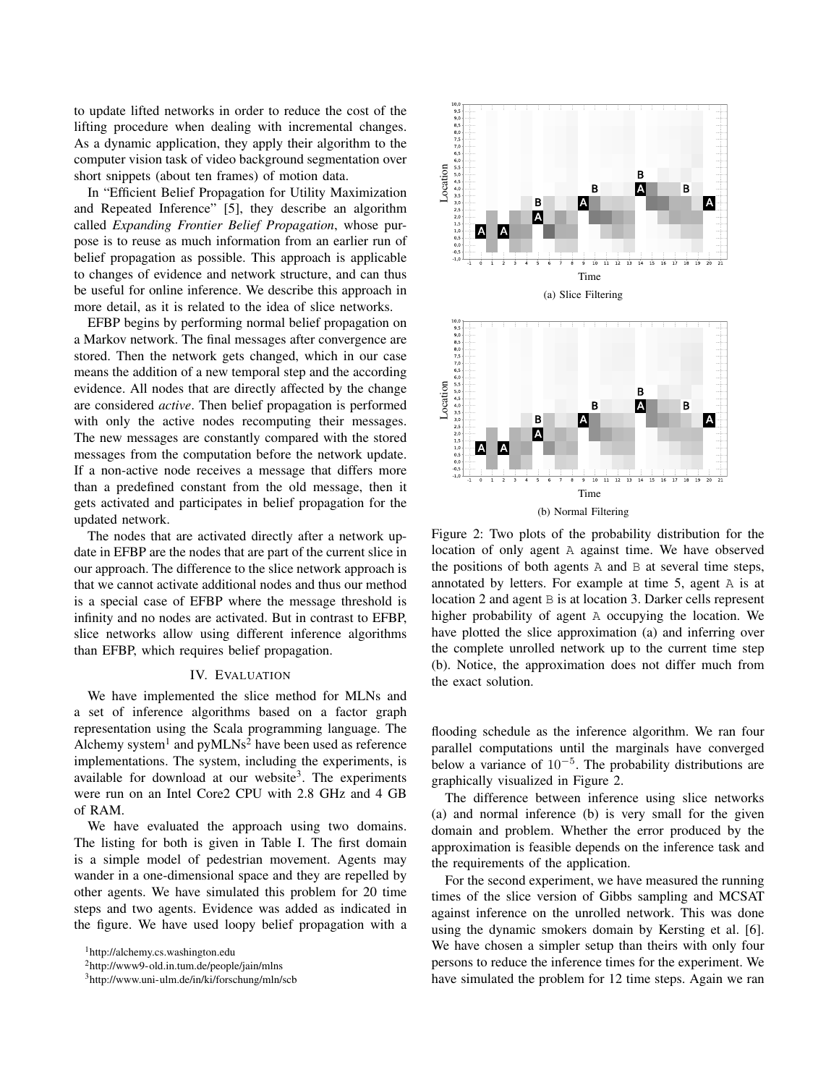to update lifted networks in order to reduce the cost of the lifting procedure when dealing with incremental changes. As a dynamic application, they apply their algorithm to the computer vision task of video background segmentation over short snippets (about ten frames) of motion data.

In "Efficient Belief Propagation for Utility Maximization and Repeated Inference" [5], they describe an algorithm called *Expanding Frontier Belief Propagation*, whose purpose is to reuse as much information from an earlier run of belief propagation as possible. This approach is applicable to changes of evidence and network structure, and can thus be useful for online inference. We describe this approach in more detail, as it is related to the idea of slice networks.

EFBP begins by performing normal belief propagation on a Markov network. The final messages after convergence are stored. Then the network gets changed, which in our case means the addition of a new temporal step and the according evidence. All nodes that are directly affected by the change are considered *active*. Then belief propagation is performed with only the active nodes recomputing their messages. The new messages are constantly compared with the stored messages from the computation before the network update. If a non-active node receives a message that differs more than a predefined constant from the old message, then it gets activated and participates in belief propagation for the updated network.

The nodes that are activated directly after a network update in EFBP are the nodes that are part of the current slice in our approach. The difference to the slice network approach is that we cannot activate additional nodes and thus our method is a special case of EFBP where the message threshold is infinity and no nodes are activated. But in contrast to EFBP, slice networks allow using different inference algorithms than EFBP, which requires belief propagation.

### IV. EVALUATION

We have implemented the slice method for MLNs and a set of inference algorithms based on a factor graph representation using the Scala programming language. The Alchemy system<sup>1</sup> and pyMLNs<sup>2</sup> have been used as reference implementations. The system, including the experiments, is available for download at our website<sup>3</sup>. The experiments were run on an Intel Core2 CPU with 2.8 GHz and 4 GB of RAM.

We have evaluated the approach using two domains. The listing for both is given in Table I. The first domain is a simple model of pedestrian movement. Agents may wander in a one-dimensional space and they are repelled by other agents. We have simulated this problem for 20 time steps and two agents. Evidence was added as indicated in the figure. We have used loopy belief propagation with a



Figure 2: Two plots of the probability distribution for the location of only agent A against time. We have observed the positions of both agents A and B at several time steps, annotated by letters. For example at time 5, agent A is at location 2 and agent B is at location 3. Darker cells represent higher probability of agent A occupying the location. We have plotted the slice approximation (a) and inferring over the complete unrolled network up to the current time step (b). Notice, the approximation does not differ much from the exact solution.

flooding schedule as the inference algorithm. We ran four parallel computations until the marginals have converged below a variance of  $10^{-5}$ . The probability distributions are graphically visualized in Figure 2.

The difference between inference using slice networks (a) and normal inference (b) is very small for the given domain and problem. Whether the error produced by the approximation is feasible depends on the inference task and the requirements of the application.

For the second experiment, we have measured the running times of the slice version of Gibbs sampling and MCSAT against inference on the unrolled network. This was done using the dynamic smokers domain by Kersting et al. [6]. We have chosen a simpler setup than theirs with only four persons to reduce the inference times for the experiment. We have simulated the problem for 12 time steps. Again we ran

<sup>1</sup>http://alchemy.cs.washington.edu

<sup>2</sup>http://www9-old.in.tum.de/people/jain/mlns

<sup>3</sup>http://www.uni-ulm.de/in/ki/forschung/mln/scb